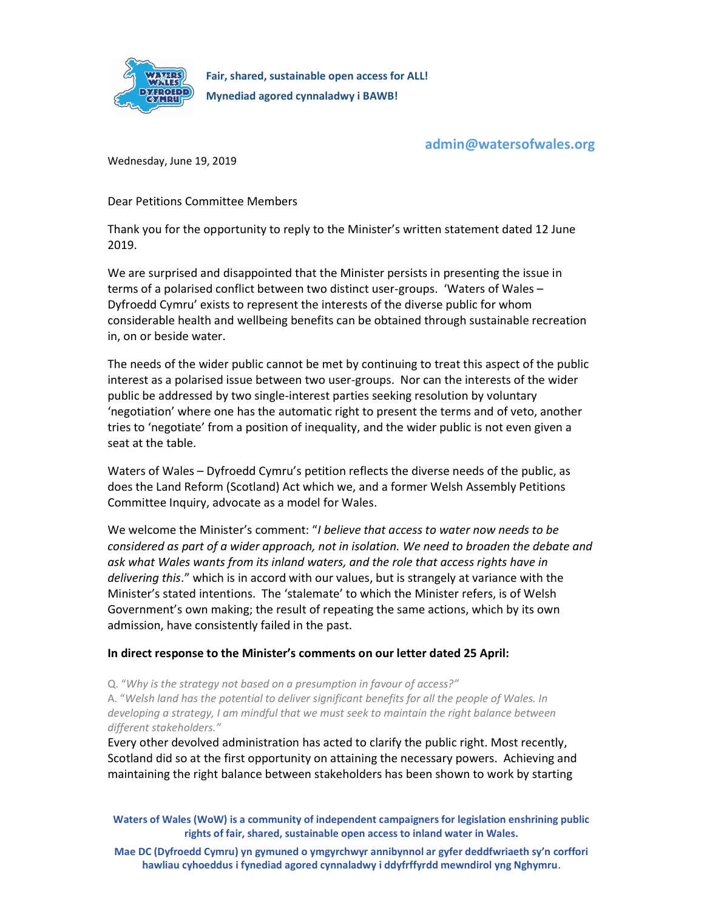

admin@watersofwales.org

Wednesday, June 19, 2019

Dear Petitions Committee Members

Thank you for the opportunity to reply to the Minister's written statement dated 12 June 2019.

We are surprised and disappointed that the Minister persists in presenting the issue in terms of a polarised conflict between two distinct user-groups. 'Waters of Wales – Dyfroedd Cymru' exists to represent the interests of the diverse public for whom considerable health and wellbeing benefits can be obtained through sustainable recreation in, on or beside water.

The needs of the wider public cannot be met by continuing to treat this aspect of the public interest as a polarised issue between two user-groups. Nor can the interests of the wider public be addressed by two single-interest parties seeking resolution by voluntary 'negotiation' where one has the automatic right to present the terms and of veto, another tries to 'negotiate' from a position of inequality, and the wider public is not even given a seat at the table.

Waters of Wales – Dyfroedd Cymru's petition reflects the diverse needs of the public, as does the Land Reform (Scotland) Act which we, and a former Welsh Assembly Petitions Committee Inquiry, advocate as a model for Wales.

We welcome the Minister's comment: "I believe that access to water now needs to be considered as part of a wider approach, not in isolation. We need to broaden the debate and ask what Wales wants from its inland waters, and the role that access rights have in delivering this." which is in accord with our values, but is strangely at variance with the Minister's stated intentions. The 'stalemate' to which the Minister refers, is of Welsh Government's own making; the result of repeating the same actions, which by its own admission, have consistently failed in the past.

## In direct response to the Minister's comments on our letter dated 25 April:

Q. "Why is the strategy not based on a presumption in favour of access?"

A. "Welsh land has the potential to deliver significant benefits for all the people of Wales. In developing a strategy, I am mindful that we must seek to maintain the right balance between different stakeholders."

Every other devolved administration has acted to clarify the public right. Most recently, Scotland did so at the first opportunity on attaining the necessary powers. Achieving and maintaining the right balance between stakeholders has been shown to work by starting

Waters of Wales (WoW) is a community of independent campaigners for legislation enshrining public rights of fair, shared, sustainable open access to inland water in Wales.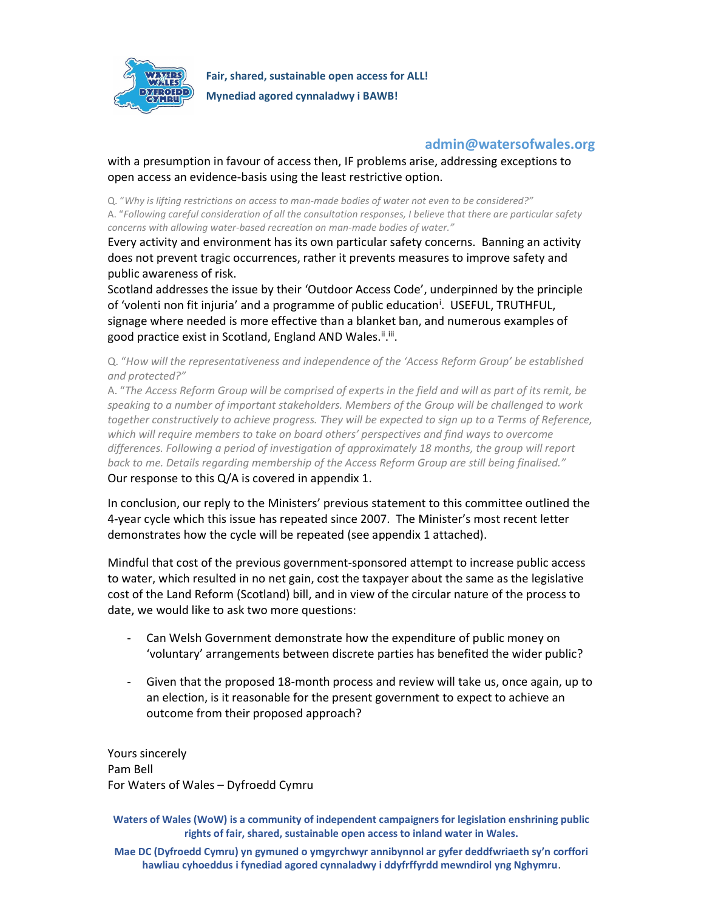

## admin@watersofwales.org

with a presumption in favour of access then, IF problems arise, addressing exceptions to open access an evidence-basis using the least restrictive option.

Q. "Why is lifting restrictions on access to man-made bodies of water not even to be considered?" A. "Following careful consideration of all the consultation responses, I believe that there are particular safety concerns with allowing water-based recreation on man-made bodies of water."

Every activity and environment has its own particular safety concerns. Banning an activity does not prevent tragic occurrences, rather it prevents measures to improve safety and public awareness of risk.

Scotland addresses the issue by their 'Outdoor Access Code', underpinned by the principle of 'volenti non fit injuria' and a programme of public education<sup>i</sup>. USEFUL, TRUTHFUL, signage where needed is more effective than a blanket ban, and numerous examples of good practice exist in Scotland, England AND Wales.<sup>ii</sup>.iii.

Q. "How will the representativeness and independence of the 'Access Reform Group' be established and protected?"

A. "The Access Reform Group will be comprised of experts in the field and will as part of its remit, be speaking to a number of important stakeholders. Members of the Group will be challenged to work together constructively to achieve progress. They will be expected to sign up to a Terms of Reference, which will require members to take on board others' perspectives and find ways to overcome differences. Following a period of investigation of approximately 18 months, the group will report back to me. Details regarding membership of the Access Reform Group are still being finalised." Our response to this Q/A is covered in appendix 1.

In conclusion, our reply to the Ministers' previous statement to this committee outlined the 4-year cycle which this issue has repeated since 2007. The Minister's most recent letter demonstrates how the cycle will be repeated (see appendix 1 attached).

Mindful that cost of the previous government-sponsored attempt to increase public access to water, which resulted in no net gain, cost the taxpayer about the same as the legislative cost of the Land Reform (Scotland) bill, and in view of the circular nature of the process to date, we would like to ask two more questions:

- Can Welsh Government demonstrate how the expenditure of public money on 'voluntary' arrangements between discrete parties has benefited the wider public?
- Given that the proposed 18-month process and review will take us, once again, up to an election, is it reasonable for the present government to expect to achieve an outcome from their proposed approach?

Yours sincerely Pam Bell For Waters of Wales – Dyfroedd Cymru

Waters of Wales (WoW) is a community of independent campaigners for legislation enshrining public rights of fair, shared, sustainable open access to inland water in Wales.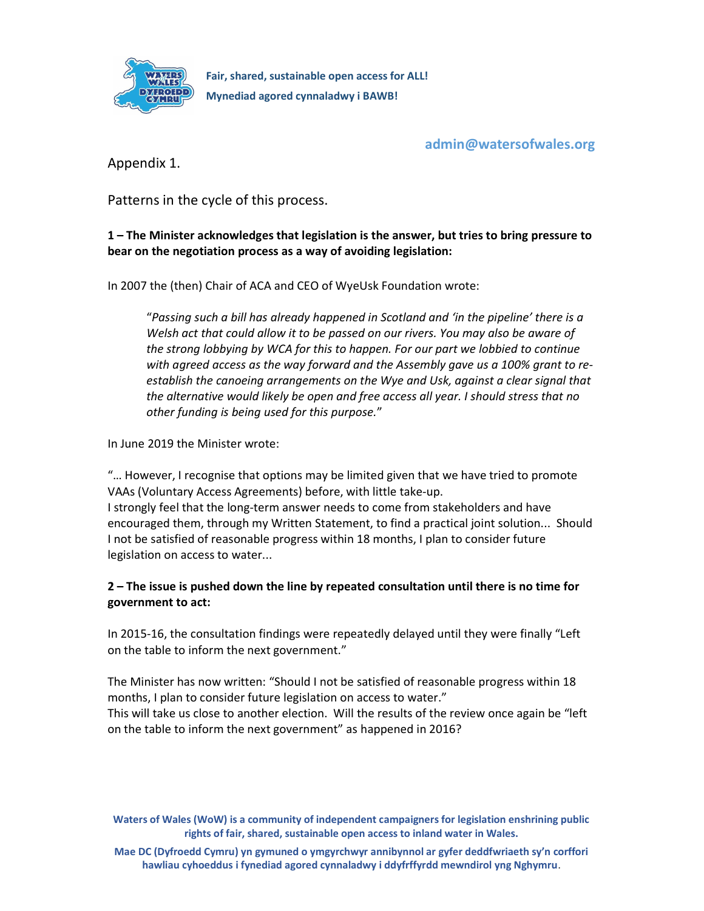

admin@watersofwales.org

Appendix 1.

Patterns in the cycle of this process.

1 – The Minister acknowledges that legislation is the answer, but tries to bring pressure to bear on the negotiation process as a way of avoiding legislation:

In 2007 the (then) Chair of ACA and CEO of WyeUsk Foundation wrote:

"Passing such a bill has already happened in Scotland and 'in the pipeline' there is a Welsh act that could allow it to be passed on our rivers. You may also be aware of the strong lobbying by WCA for this to happen. For our part we lobbied to continue with agreed access as the way forward and the Assembly gave us a 100% grant to reestablish the canoeing arrangements on the Wye and Usk, against a clear signal that the alternative would likely be open and free access all year. I should stress that no other funding is being used for this purpose."

In June 2019 the Minister wrote:

"… However, I recognise that options may be limited given that we have tried to promote VAAs (Voluntary Access Agreements) before, with little take-up. I strongly feel that the long-term answer needs to come from stakeholders and have encouraged them, through my Written Statement, to find a practical joint solution... Should I not be satisfied of reasonable progress within 18 months, I plan to consider future legislation on access to water...

## 2 – The issue is pushed down the line by repeated consultation until there is no time for government to act:

In 2015-16, the consultation findings were repeatedly delayed until they were finally "Left on the table to inform the next government."

The Minister has now written: "Should I not be satisfied of reasonable progress within 18 months, I plan to consider future legislation on access to water." This will take us close to another election. Will the results of the review once again be "left on the table to inform the next government" as happened in 2016?

Waters of Wales (WoW) is a community of independent campaigners for legislation enshrining public rights of fair, shared, sustainable open access to inland water in Wales.